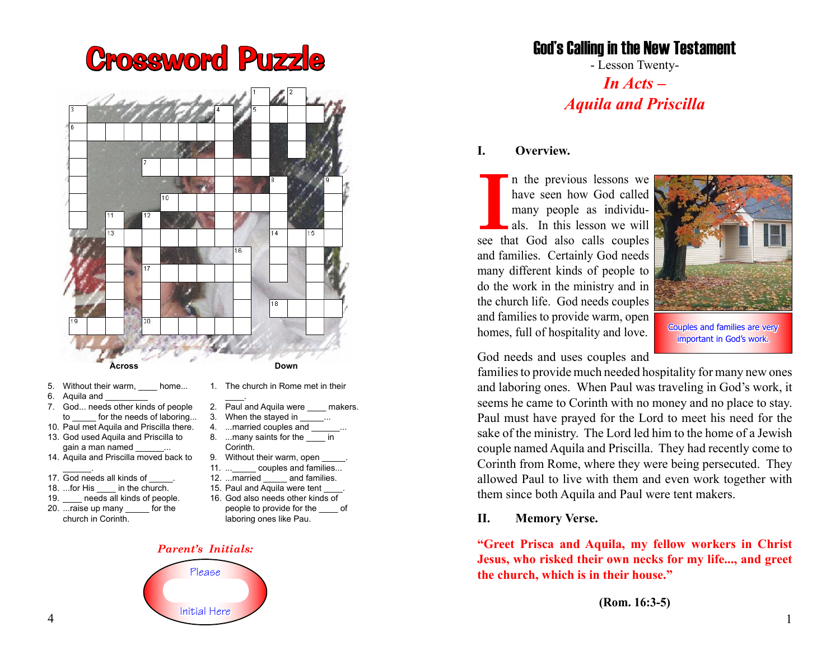# Crossword Puzzle



- 5. Without their warm, home...
- 6. Aquila and
- 7. God... needs other kinds of people to for the needs of laboring...
- 10. Paul met Aquila and Priscilla there. 13. God used Aquila and Priscilla to gain a man named
- 14. Aquila and Priscilla moved back to \_\_\_\_\_\_.
- 17. God needs all kinds of
- 18. ...for His \_\_\_\_ in the church.
- 19. **heeds all kinds of people.**
- 20. ...raise up many for the church in Corinth.
- $\overline{\phantom{a}}$ 2. Paul and Aquila were \_\_\_\_\_ makers.
- 3. When the stayed in ...
- 4. ...married couples and
- 8. ...many saints for the \_\_\_\_ in Corinth.
- 9. Without their warm, open
- 11. ... couples and families...
- 12. ...married and families.
- 15. Paul and Aquila were tent
- 16. God also needs other kinds of people to provide for the \_\_\_\_ of laboring ones like Pau.

#### *Parent's Initials:*



### God's Calling in the New Testament

- Lesson Twenty-

*In Acts – Aquila and Priscilla*

#### **I. Overview.**

In the previous lessons we have seen how God called many people as individuals. In this lesson we will see that God also calls couples n the previous lessons we have seen how God called many people as individuals. In this lesson we will and families. Certainly God needs many different kinds of people to do the work in the ministry and in the church life. God needs couples and families to provide warm, open homes, full of hospitality and love.



Couples and families are very important in God's work.

God needs and uses couples and

families to provide much needed hospitality for many new ones and laboring ones. When Paul was traveling in God's work, it seems he came to Corinth with no money and no place to stay. Paul must have prayed for the Lord to meet his need for the sake of the ministry. The Lord led him to the home of a Jewish couple named Aquila and Priscilla. They had recently come to Corinth from Rome, where they were being persecuted. They allowed Paul to live with them and even work together with them since both Aquila and Paul were tent makers.

#### **II. Memory Verse.**

**"Greet Prisca and Aquila, my fellow workers in Christ Jesus, who risked their own necks for my life..., and greet the church, which is in their house."**

**(Rom. 16:3-5)**